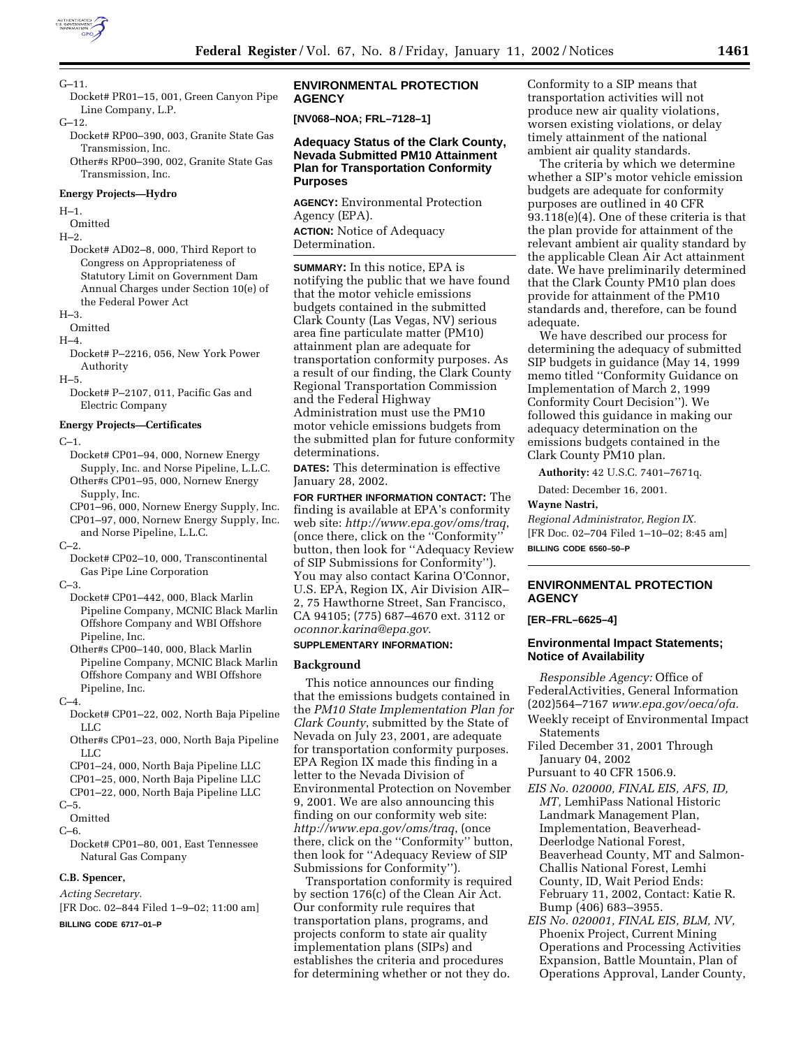

G–11.

Docket# PR01–15, 001, Green Canyon Pipe Line Company, L.P.

 $G-12.$ 

- Docket# RP00–390, 003, Granite State Gas Transmission, Inc.
- Other#s RP00–390, 002, Granite State Gas Transmission, Inc.

#### **Energy Projects—Hydro**

 $H-1$ 

#### Omitted

H–2.

Docket# AD02–8, 000, Third Report to Congress on Appropriateness of Statutory Limit on Government Dam Annual Charges under Section 10(e) of the Federal Power Act

# H–3.

Omitted H–4.

Docket# P–2216, 056, New York Power Authority

H–5.

Docket# P–2107, 011, Pacific Gas and Electric Company

#### **Energy Projects—Certificates**

 $C-1$ 

- Docket# CP01–94, 000, Nornew Energy Supply, Inc. and Norse Pipeline, L.L.C. Other#s CP01–95, 000, Nornew Energy Supply, Inc.
- CP01–96, 000, Nornew Energy Supply, Inc. CP01–97, 000, Nornew Energy Supply, Inc.

and Norse Pipeline, L.L.C.  $C-2$ .

Docket# CP02–10, 000, Transcontinental Gas Pipe Line Corporation

 $C-3$ .

- Docket# CP01–442, 000, Black Marlin Pipeline Company, MCNIC Black Marlin Offshore Company and WBI Offshore Pipeline, Inc.
- Other#s CP00–140, 000, Black Marlin Pipeline Company, MCNIC Black Marlin Offshore Company and WBI Offshore Pipeline, Inc.

 $C-4$ .

Docket# CP01–22, 002, North Baja Pipeline LLC

Other#s CP01–23, 000, North Baja Pipeline LLC

- CP01–24, 000, North Baja Pipeline LLC
- CP01–25, 000, North Baja Pipeline LLC

CP01–22, 000, North Baja Pipeline LLC  $C - 5.$ 

Omitted

 $C-6$ .

Docket# CP01–80, 001, East Tennessee Natural Gas Company

#### **C.B. Spencer,**

*Acting Secretary.*

[FR Doc. 02–844 Filed 1–9–02; 11:00 am] **BILLING CODE 6717–01–P**

# **ENVIRONMENTAL PROTECTION AGENCY**

**[NV068–NOA; FRL–7128–1]**

# **Adequacy Status of the Clark County, Nevada Submitted PM10 Attainment Plan for Transportation Conformity Purposes**

**AGENCY:** Environmental Protection Agency (EPA).

**ACTION:** Notice of Adequacy Determination.

**SUMMARY:** In this notice, EPA is notifying the public that we have found that the motor vehicle emissions budgets contained in the submitted Clark County (Las Vegas, NV) serious area fine particulate matter (PM10) attainment plan are adequate for transportation conformity purposes. As a result of our finding, the Clark County Regional Transportation Commission and the Federal Highway Administration must use the PM10 motor vehicle emissions budgets from the submitted plan for future conformity determinations.

**DATES:** This determination is effective January 28, 2002.

**FOR FURTHER INFORMATION CONTACT:** The finding is available at EPA's conformity web site: *http://www.epa.gov/oms/traq*, (once there, click on the ''Conformity'' button, then look for ''Adequacy Review of SIP Submissions for Conformity''). You may also contact Karina O'Connor, U.S. EPA, Region IX, Air Division AIR– 2, 75 Hawthorne Street, San Francisco, CA 94105; (775) 687–4670 ext. 3112 or *oconnor.karina@epa.gov*.

# **SUPPLEMENTARY INFORMATION:**

#### **Background**

This notice announces our finding that the emissions budgets contained in the *PM10 State Implementation Plan for Clark County*, submitted by the State of Nevada on July 23, 2001, are adequate for transportation conformity purposes. EPA Region IX made this finding in a letter to the Nevada Division of Environmental Protection on November 9, 2001. We are also announcing this finding on our conformity web site: *http://www.epa.gov/oms/traq*, (once there, click on the ''Conformity'' button, then look for ''Adequacy Review of SIP Submissions for Conformity'').

Transportation conformity is required by section 176(c) of the Clean Air Act. Our conformity rule requires that transportation plans, programs, and projects conform to state air quality implementation plans (SIPs) and establishes the criteria and procedures for determining whether or not they do.

Conformity to a SIP means that transportation activities will not produce new air quality violations, worsen existing violations, or delay timely attainment of the national ambient air quality standards.

The criteria by which we determine whether a SIP's motor vehicle emission budgets are adequate for conformity purposes are outlined in 40 CFR 93.118(e)(4). One of these criteria is that the plan provide for attainment of the relevant ambient air quality standard by the applicable Clean Air Act attainment date. We have preliminarily determined that the Clark County PM10 plan does provide for attainment of the PM10 standards and, therefore, can be found adequate.

We have described our process for determining the adequacy of submitted SIP budgets in guidance (May 14, 1999 memo titled ''Conformity Guidance on Implementation of March 2, 1999 Conformity Court Decision''). We followed this guidance in making our adequacy determination on the emissions budgets contained in the Clark County PM10 plan.

**Authority:** 42 U.S.C. 7401–7671q.

Dated: December 16, 2001.

#### **Wayne Nastri,**

*Regional Administrator, Region IX.* [FR Doc. 02–704 Filed 1–10–02; 8:45 am] **BILLING CODE 6560–50–P**

# **ENVIRONMENTAL PROTECTION AGENCY**

# **[ER–FRL–6625–4]**

#### **Environmental Impact Statements; Notice of Availability**

*Responsible Agency:* Office of FederalActivities, General Information (202)564–7167 *www.epa.gov/oeca/ofa.*

- Weekly receipt of Environmental Impact Statements
- Filed December 31, 2001 Through January 04, 2002

Pursuant to 40 CFR 1506.9.

*EIS No. 020000, FINAL EIS, AFS, ID, MT,* LemhiPass National Historic Landmark Management Plan, Implementation, Beaverhead-Deerlodge National Forest, Beaverhead County, MT and Salmon-Challis National Forest, Lemhi County, ID, Wait Period Ends: February 11, 2002, Contact: Katie R. Bump (406) 683–3955.

*EIS No. 020001, FINAL EIS, BLM, NV,* Phoenix Project, Current Mining Operations and Processing Activities Expansion, Battle Mountain, Plan of Operations Approval, Lander County,